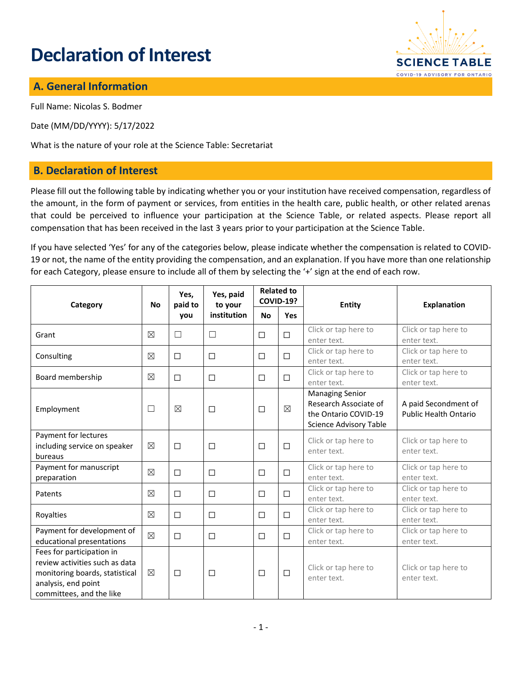# **Declaration of Interest**



## **A. General Information**

Full Name: Nicolas S. Bodmer

Date (MM/DD/YYYY): 5/17/2022

What is the nature of your role at the Science Table: Secretariat

#### **B. Declaration of Interest**

Please fill out the following table by indicating whether you or your institution have received compensation, regardless of the amount, in the form of payment or services, from entities in the health care, public health, or other related arenas that could be perceived to influence your participation at the Science Table, or related aspects. Please report all compensation that has been received in the last 3 years prior to your participation at the Science Table.

If you have selected 'Yes' for any of the categories below, please indicate whether the compensation is related to COVID-19 or not, the name of the entity providing the compensation, and an explanation. If you have more than one relationship for each Category, please ensure to include all of them by selecting the '+' sign at the end of each row.

| Category                                                                                                                                         | <b>No</b>   | Yes,<br>paid to<br>you | Yes, paid<br>to your<br>institution | <b>Related to</b><br><b>COVID-19?</b> |             | Entity                                                                                                   | <b>Explanation</b>                                   |
|--------------------------------------------------------------------------------------------------------------------------------------------------|-------------|------------------------|-------------------------------------|---------------------------------------|-------------|----------------------------------------------------------------------------------------------------------|------------------------------------------------------|
|                                                                                                                                                  |             |                        |                                     | <b>No</b>                             | <b>Yes</b>  |                                                                                                          |                                                      |
| Grant                                                                                                                                            | $\boxtimes$ | $\Box$                 | $\Box$                              | $\Box$                                | $\Box$      | Click or tap here to<br>enter text.                                                                      | Click or tap here to<br>enter text.                  |
| Consulting                                                                                                                                       | $\boxtimes$ | $\Box$                 | $\Box$                              | $\Box$                                | $\Box$      | Click or tap here to<br>enter text.                                                                      | Click or tap here to<br>enter text.                  |
| Board membership                                                                                                                                 | $\boxtimes$ | $\Box$                 | $\Box$                              | $\Box$                                | $\Box$      | Click or tap here to<br>enter text.                                                                      | Click or tap here to<br>enter text.                  |
| Employment                                                                                                                                       | П           | ⊠                      | □                                   | $\Box$                                | $\boxtimes$ | <b>Managing Senior</b><br>Research Associate of<br>the Ontario COVID-19<br><b>Science Advisory Table</b> | A paid Secondment of<br><b>Public Health Ontario</b> |
| Payment for lectures<br>including service on speaker<br>bureaus                                                                                  | ⊠           | $\Box$                 | $\Box$                              | $\Box$                                | $\Box$      | Click or tap here to<br>enter text.                                                                      | Click or tap here to<br>enter text.                  |
| Payment for manuscript<br>preparation                                                                                                            | $\boxtimes$ | □                      | $\Box$                              | $\Box$                                | $\Box$      | Click or tap here to<br>enter text.                                                                      | Click or tap here to<br>enter text.                  |
| Patents                                                                                                                                          | $\boxtimes$ | $\Box$                 | $\Box$                              | $\Box$                                | $\Box$      | Click or tap here to<br>enter text.                                                                      | Click or tap here to<br>enter text.                  |
| Royalties                                                                                                                                        | ⊠           | $\Box$                 | $\Box$                              | $\Box$                                | $\Box$      | Click or tap here to<br>enter text.                                                                      | Click or tap here to<br>enter text.                  |
| Payment for development of<br>educational presentations                                                                                          | $\boxtimes$ | $\Box$                 | $\Box$                              | $\Box$                                | $\Box$      | Click or tap here to<br>enter text.                                                                      | Click or tap here to<br>enter text.                  |
| Fees for participation in<br>review activities such as data<br>monitoring boards, statistical<br>analysis, end point<br>committees, and the like | $\boxtimes$ | □                      | □                                   | $\Box$                                | $\Box$      | Click or tap here to<br>enter text.                                                                      | Click or tap here to<br>enter text.                  |